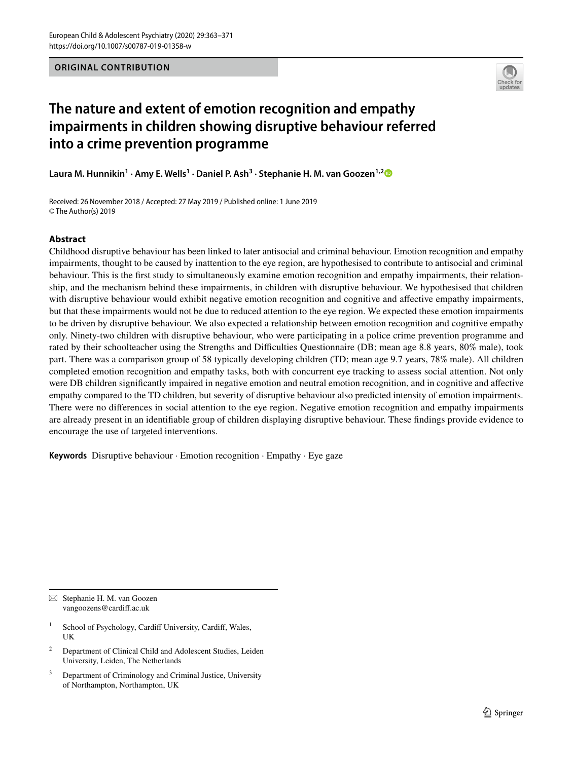## **ORIGINAL CONTRIBUTION**



# **The nature and extent of emotion recognition and empathy impairments in children showing disruptive behaviour referred into a crime prevention programme**

Laura M. Hunnikin<sup>1</sup> · Amy E. Wells<sup>1</sup> · Daniel P. Ash<sup>3</sup> · Stephanie H. M. van Goozen<sup>1,[2](http://orcid.org/0000-0002-5983-4734)</sup>

Received: 26 November 2018 / Accepted: 27 May 2019 / Published online: 1 June 2019 © The Author(s) 2019

## **Abstract**

Childhood disruptive behaviour has been linked to later antisocial and criminal behaviour. Emotion recognition and empathy impairments, thought to be caused by inattention to the eye region, are hypothesised to contribute to antisocial and criminal behaviour. This is the frst study to simultaneously examine emotion recognition and empathy impairments, their relationship, and the mechanism behind these impairments, in children with disruptive behaviour. We hypothesised that children with disruptive behaviour would exhibit negative emotion recognition and cognitive and affective empathy impairments, but that these impairments would not be due to reduced attention to the eye region. We expected these emotion impairments to be driven by disruptive behaviour. We also expected a relationship between emotion recognition and cognitive empathy only. Ninety-two children with disruptive behaviour, who were participating in a police crime prevention programme and rated by their schoolteacher using the Strengths and Difficulties Questionnaire (DB; mean age 8.8 years, 80% male), took part. There was a comparison group of 58 typically developing children (TD; mean age 9.7 years, 78% male). All children completed emotion recognition and empathy tasks, both with concurrent eye tracking to assess social attention. Not only were DB children signifcantly impaired in negative emotion and neutral emotion recognition, and in cognitive and afective empathy compared to the TD children, but severity of disruptive behaviour also predicted intensity of emotion impairments. There were no diferences in social attention to the eye region. Negative emotion recognition and empathy impairments are already present in an identifable group of children displaying disruptive behaviour. These fndings provide evidence to encourage the use of targeted interventions.

**Keywords** Disruptive behaviour · Emotion recognition · Empathy · Eye gaze

 $\boxtimes$  Stephanie H. M. van Goozen vangoozens@cardif.ac.uk

- <sup>1</sup> School of Psychology, Cardiff University, Cardiff, Wales, UK
- <sup>2</sup> Department of Clinical Child and Adolescent Studies, Leiden University, Leiden, The Netherlands
- <sup>3</sup> Department of Criminology and Criminal Justice, University of Northampton, Northampton, UK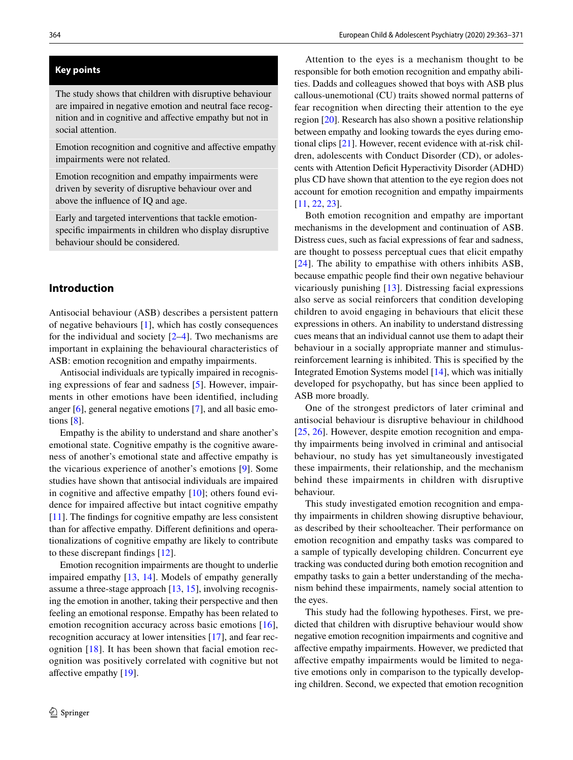## **Key points**

The study shows that children with disruptive behaviour are impaired in negative emotion and neutral face recognition and in cognitive and afective empathy but not in social attention.

Emotion recognition and cognitive and afective empathy impairments were not related.

Emotion recognition and empathy impairments were driven by severity of disruptive behaviour over and above the infuence of IQ and age.

Early and targeted interventions that tackle emotionspecifc impairments in children who display disruptive behaviour should be considered.

# **Introduction**

Antisocial behaviour (ASB) describes a persistent pattern of negative behaviours [\[1](#page-7-0)], which has costly consequences for the individual and society  $[2-4]$  $[2-4]$ . Two mechanisms are important in explaining the behavioural characteristics of ASB: emotion recognition and empathy impairments.

Antisocial individuals are typically impaired in recognising expressions of fear and sadness [\[5](#page-7-3)]. However, impairments in other emotions have been identifed, including anger [[6](#page-7-4)], general negative emotions [[7\]](#page-7-5), and all basic emotions [[8\]](#page-7-6).

Empathy is the ability to understand and share another's emotional state. Cognitive empathy is the cognitive awareness of another's emotional state and afective empathy is the vicarious experience of another's emotions [[9\]](#page-7-7). Some studies have shown that antisocial individuals are impaired in cognitive and affective empathy  $[10]$  $[10]$ ; others found evidence for impaired afective but intact cognitive empathy [\[11\]](#page-7-9). The fndings for cognitive empathy are less consistent than for affective empathy. Different definitions and operationalizations of cognitive empathy are likely to contribute to these discrepant fndings [[12](#page-7-10)].

Emotion recognition impairments are thought to underlie impaired empathy [\[13,](#page-7-11) [14](#page-7-12)]. Models of empathy generally assume a three-stage approach [\[13,](#page-7-11) [15](#page-7-13)], involving recognising the emotion in another, taking their perspective and then feeling an emotional response. Empathy has been related to emotion recognition accuracy across basic emotions [[16](#page-7-14)], recognition accuracy at lower intensities [[17](#page-8-0)], and fear recognition [\[18\]](#page-8-1). It has been shown that facial emotion recognition was positively correlated with cognitive but not afective empathy [\[19\]](#page-8-2).

Attention to the eyes is a mechanism thought to be responsible for both emotion recognition and empathy abilities. Dadds and colleagues showed that boys with ASB plus callous-unemotional (CU) traits showed normal patterns of fear recognition when directing their attention to the eye region [\[20](#page-8-3)]. Research has also shown a positive relationship between empathy and looking towards the eyes during emotional clips [[21\]](#page-8-4). However, recent evidence with at-risk children, adolescents with Conduct Disorder (CD), or adolescents with Attention Deficit Hyperactivity Disorder (ADHD) plus CD have shown that attention to the eye region does not account for emotion recognition and empathy impairments [[11,](#page-7-9) [22,](#page-8-5) [23\]](#page-8-6).

Both emotion recognition and empathy are important mechanisms in the development and continuation of ASB. Distress cues, such as facial expressions of fear and sadness, are thought to possess perceptual cues that elicit empathy [[24](#page-8-7)]. The ability to empathise with others inhibits ASB, because empathic people fnd their own negative behaviour vicariously punishing [\[13](#page-7-11)]. Distressing facial expressions also serve as social reinforcers that condition developing children to avoid engaging in behaviours that elicit these expressions in others. An inability to understand distressing cues means that an individual cannot use them to adapt their behaviour in a socially appropriate manner and stimulusreinforcement learning is inhibited. This is specifed by the Integrated Emotion Systems model [\[14](#page-7-12)], which was initially developed for psychopathy, but has since been applied to ASB more broadly.

One of the strongest predictors of later criminal and antisocial behaviour is disruptive behaviour in childhood [[25,](#page-8-8) [26](#page-8-9)]. However, despite emotion recognition and empathy impairments being involved in criminal and antisocial behaviour, no study has yet simultaneously investigated these impairments, their relationship, and the mechanism behind these impairments in children with disruptive behaviour.

This study investigated emotion recognition and empathy impairments in children showing disruptive behaviour, as described by their schoolteacher. Their performance on emotion recognition and empathy tasks was compared to a sample of typically developing children. Concurrent eye tracking was conducted during both emotion recognition and empathy tasks to gain a better understanding of the mechanism behind these impairments, namely social attention to the eyes.

This study had the following hypotheses. First, we predicted that children with disruptive behaviour would show negative emotion recognition impairments and cognitive and afective empathy impairments. However, we predicted that afective empathy impairments would be limited to negative emotions only in comparison to the typically developing children. Second, we expected that emotion recognition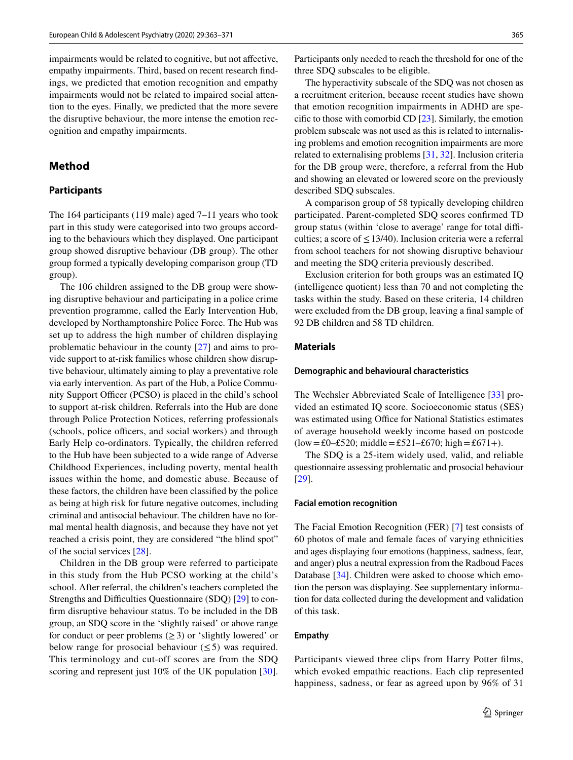impairments would be related to cognitive, but not afective, empathy impairments. Third, based on recent research fndings, we predicted that emotion recognition and empathy impairments would not be related to impaired social attention to the eyes. Finally, we predicted that the more severe the disruptive behaviour, the more intense the emotion recognition and empathy impairments.

## **Method**

## **Participants**

The 164 participants (119 male) aged 7–11 years who took part in this study were categorised into two groups according to the behaviours which they displayed. One participant group showed disruptive behaviour (DB group). The other group formed a typically developing comparison group (TD group).

The 106 children assigned to the DB group were showing disruptive behaviour and participating in a police crime prevention programme, called the Early Intervention Hub, developed by Northamptonshire Police Force. The Hub was set up to address the high number of children displaying problematic behaviour in the county [[27\]](#page-8-10) and aims to provide support to at-risk families whose children show disruptive behaviour, ultimately aiming to play a preventative role via early intervention. As part of the Hub, a Police Community Support Officer (PCSO) is placed in the child's school to support at-risk children. Referrals into the Hub are done through Police Protection Notices, referring professionals (schools, police officers, and social workers) and through Early Help co-ordinators. Typically, the children referred to the Hub have been subjected to a wide range of Adverse Childhood Experiences, including poverty, mental health issues within the home, and domestic abuse. Because of these factors, the children have been classifed by the police as being at high risk for future negative outcomes, including criminal and antisocial behaviour. The children have no formal mental health diagnosis, and because they have not yet reached a crisis point, they are considered "the blind spot" of the social services [\[28\]](#page-8-11).

Children in the DB group were referred to participate in this study from the Hub PCSO working at the child's school. After referral, the children's teachers completed the Strengths and Difficulties Questionnaire (SDQ) [[29\]](#page-8-12) to confrm disruptive behaviour status. To be included in the DB group, an SDQ score in the 'slightly raised' or above range for conduct or peer problems  $(>3)$  or 'slightly lowered' or below range for prosocial behaviour  $(\leq 5)$  was required. This terminology and cut-off scores are from the SDQ scoring and represent just 10% of the UK population [\[30](#page-8-13)].

Participants only needed to reach the threshold for one of the three SDQ subscales to be eligible.

The hyperactivity subscale of the SDQ was not chosen as a recruitment criterion, because recent studies have shown that emotion recognition impairments in ADHD are specifc to those with comorbid CD [\[23](#page-8-6)]. Similarly, the emotion problem subscale was not used as this is related to internalising problems and emotion recognition impairments are more related to externalising problems [[31,](#page-8-14) [32\]](#page-8-15). Inclusion criteria for the DB group were, therefore, a referral from the Hub and showing an elevated or lowered score on the previously described SDQ subscales.

A comparison group of 58 typically developing children participated. Parent-completed SDQ scores confrmed TD group status (within 'close to average' range for total difficulties; a score of  $\leq$  13/40). Inclusion criteria were a referral from school teachers for not showing disruptive behaviour and meeting the SDQ criteria previously described.

Exclusion criterion for both groups was an estimated IQ (intelligence quotient) less than 70 and not completing the tasks within the study. Based on these criteria, 14 children were excluded from the DB group, leaving a fnal sample of 92 DB children and 58 TD children.

## **Materials**

#### **Demographic and behavioural characteristics**

The Wechsler Abbreviated Scale of Intelligence [[33\]](#page-8-16) provided an estimated IQ score. Socioeconomic status (SES) was estimated using Office for National Statistics estimates of average household weekly income based on postcode  $(low = £0–£520; middle = £521–£670; high = £671+$ .

The SDQ is a 25-item widely used, valid, and reliable questionnaire assessing problematic and prosocial behaviour [[29\]](#page-8-12).

#### **Facial emotion recognition**

The Facial Emotion Recognition (FER) [\[7](#page-7-5)] test consists of 60 photos of male and female faces of varying ethnicities and ages displaying four emotions (happiness, sadness, fear, and anger) plus a neutral expression from the Radboud Faces Database [[34\]](#page-8-17). Children were asked to choose which emotion the person was displaying. See supplementary information for data collected during the development and validation of this task.

#### **Empathy**

Participants viewed three clips from Harry Potter flms, which evoked empathic reactions. Each clip represented happiness, sadness, or fear as agreed upon by 96% of 31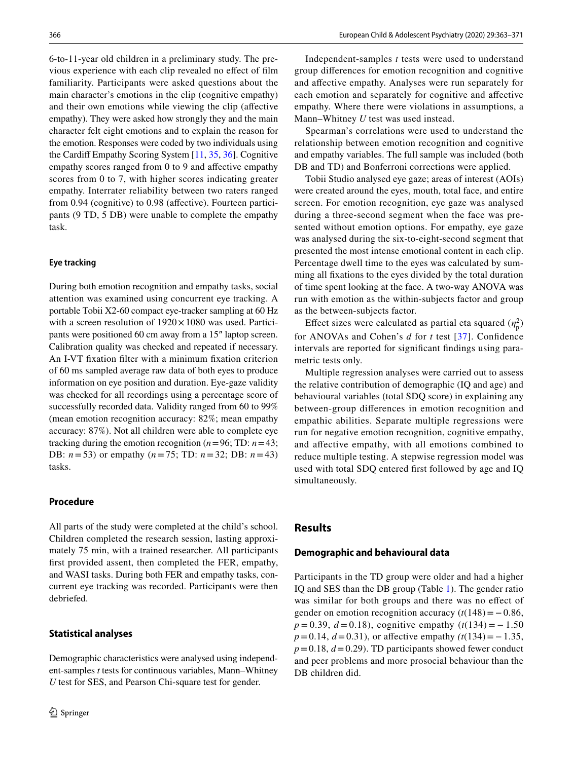6-to-11-year old children in a preliminary study. The previous experience with each clip revealed no efect of flm familiarity. Participants were asked questions about the main character's emotions in the clip (cognitive empathy) and their own emotions while viewing the clip (afective empathy). They were asked how strongly they and the main character felt eight emotions and to explain the reason for the emotion. Responses were coded by two individuals using the Cardif Empathy Scoring System [\[11](#page-7-9), [35](#page-8-18), [36\]](#page-8-19). Cognitive empathy scores ranged from 0 to 9 and afective empathy scores from 0 to 7, with higher scores indicating greater empathy. Interrater reliability between two raters ranged from 0.94 (cognitive) to 0.98 (afective). Fourteen participants (9 TD, 5 DB) were unable to complete the empathy task.

#### **Eye tracking**

During both emotion recognition and empathy tasks, social attention was examined using concurrent eye tracking. A portable Tobii X2-60 compact eye-tracker sampling at 60 Hz with a screen resolution of  $1920 \times 1080$  was used. Participants were positioned 60 cm away from a 15″ laptop screen. Calibration quality was checked and repeated if necessary. An I-VT fxation flter with a minimum fxation criterion of 60 ms sampled average raw data of both eyes to produce information on eye position and duration. Eye-gaze validity was checked for all recordings using a percentage score of successfully recorded data. Validity ranged from 60 to 99% (mean emotion recognition accuracy: 82%; mean empathy accuracy: 87%). Not all children were able to complete eye tracking during the emotion recognition  $(n=96; TD: n=43;$ DB: *n*=53) or empathy (*n*=75; TD: *n*=32; DB: *n*=43) tasks.

# **Procedure**

All parts of the study were completed at the child's school. Children completed the research session, lasting approximately 75 min, with a trained researcher. All participants frst provided assent, then completed the FER, empathy, and WASI tasks. During both FER and empathy tasks, concurrent eye tracking was recorded. Participants were then debriefed.

## **Statistical analyses**

Demographic characteristics were analysed using independent-samples *t* tests for continuous variables, Mann–Whitney *U* test for SES, and Pearson Chi-square test for gender.

Independent-samples *t* tests were used to understand group diferences for emotion recognition and cognitive and afective empathy. Analyses were run separately for each emotion and separately for cognitive and afective empathy. Where there were violations in assumptions, a Mann–Whitney *U* test was used instead.

Spearman's correlations were used to understand the relationship between emotion recognition and cognitive and empathy variables. The full sample was included (both DB and TD) and Bonferroni corrections were applied.

Tobii Studio analysed eye gaze; areas of interest (AOIs) were created around the eyes, mouth, total face, and entire screen. For emotion recognition, eye gaze was analysed during a three-second segment when the face was presented without emotion options. For empathy, eye gaze was analysed during the six-to-eight-second segment that presented the most intense emotional content in each clip. Percentage dwell time to the eyes was calculated by summing all fxations to the eyes divided by the total duration of time spent looking at the face. A two-way ANOVA was run with emotion as the within-subjects factor and group as the between-subjects factor.

Effect sizes were calculated as partial eta squared  $(\eta_p^2)$ for ANOVAs and Cohen's *d* for *t* test [[37](#page-8-20)]. Confdence intervals are reported for signifcant fndings using parametric tests only.

Multiple regression analyses were carried out to assess the relative contribution of demographic (IQ and age) and behavioural variables (total SDQ score) in explaining any between-group diferences in emotion recognition and empathic abilities. Separate multiple regressions were run for negative emotion recognition, cognitive empathy, and afective empathy, with all emotions combined to reduce multiple testing. A stepwise regression model was used with total SDQ entered frst followed by age and IQ simultaneously.

## **Results**

### **Demographic and behavioural data**

Participants in the TD group were older and had a higher IQ and SES than the DB group (Table [1\)](#page-4-0). The gender ratio was similar for both groups and there was no efect of gender on emotion recognition accuracy  $(t(148)=-0.86,$ *p* = 0.39, *d* = 0.18), cognitive empathy (*t*(134) = − 1.50 *p*=0.14, *d*=0.31), or affective empathy  $(t(134) = −1.35)$ ,  $p=0.18$ ,  $d=0.29$ ). TD participants showed fewer conduct and peer problems and more prosocial behaviour than the DB children did.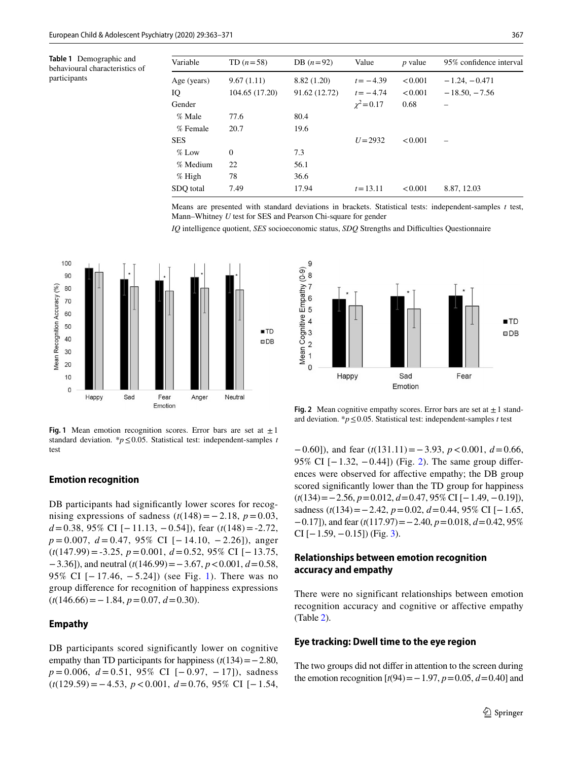<span id="page-4-0"></span>**Table 1** Demographic and behavioural characteristics of participants

| Variable    | TD $(n=58)$    | DB $(n=92)$   | Value        | $p$ value | 95% confidence interval |  |  |
|-------------|----------------|---------------|--------------|-----------|-------------------------|--|--|
| Age (years) | 9.67(1.11)     | 8.82 (1.20)   | $t = -4.39$  | < 0.001   | $-1.24, -0.471$         |  |  |
| IO          | 104.65 (17.20) | 91.62 (12.72) | $t = -4.74$  | < 0.001   | $-18.50, -7.56$         |  |  |
| Gender      |                |               | $x^2 = 0.17$ | 0.68      |                         |  |  |
| % Male      | 77.6           | 80.4          |              |           |                         |  |  |
| % Female    | 20.7           | 19.6          |              |           |                         |  |  |
| <b>SES</b>  |                |               | $U = 2932$   | < 0.001   |                         |  |  |
| $%$ Low     | $\mathbf{0}$   | 7.3           |              |           |                         |  |  |
| % Medium    | 22             | 56.1          |              |           |                         |  |  |
| $%$ High    | 78             | 36.6          |              |           |                         |  |  |
| SDO total   | 7.49           | 17.94         | $t = 13.11$  | < 0.001   | 8.87, 12.03             |  |  |

Means are presented with standard deviations in brackets. Statistical tests: independent-samples *t* test, Mann–Whitney *U* test for SES and Pearson Chi-square for gender

*IQ* intelligence quotient, *SES* socioeconomic status, *SDQ* Strengths and Difficulties Questionnaire



<span id="page-4-1"></span>**Fig. 1** Mean emotion recognition scores. Error bars are set at  $\pm 1$ standard deviation. \* $p \le 0.05$ . Statistical test: independent-samples *t* test

#### **Emotion recognition**

DB participants had significantly lower scores for recognising expressions of sadness  $(t(148)=-2.18, p=0.03,$ *d*=0.38, 95% CI [−11.13, −0.54]), fear (*t*(148) = -2.72, *p* = 0.007, *d* = 0.47, 95% CI [−14.10, −2.26]), anger (*t*(147.99)=-3.25, *p*=0.001, *d*=0.52, 95% CI [−13.75, −3.36]), and neutral (*t*(146.99)=−3.67, *p*<0.001, *d*=0.58, 95% CI [−17.46, −5.24]) (see Fig. [1\)](#page-4-1). There was no group diference for recognition of happiness expressions (*t*(146.66)=−1.84, *p*=0.07, *d*=0.30).

#### **Empathy**

DB participants scored significantly lower on cognitive empathy than TD participants for happiness (*t*(134)=−2.80, *p* = 0.006, *d* = 0.51, 95% CI [−0.97, −17]), sadness (*t*(129.59)=−4.53, *p*<0.001, *d*=0.76, 95% CI [−1.54,



<span id="page-4-2"></span>**Fig. 2** Mean cognitive empathy scores. Error bars are set at  $\pm 1$  standard deviation.  $*_{p} \leq 0.05$ . Statistical test: independent-samples *t* test

−0.60]), and fear (*t*(131.11)=−3.93, *p*<0.001, *d*=0.66, 95% CI [−1.32, −0.44]) (Fig. [2\)](#page-4-2). The same group differences were observed for afective empathy; the DB group scored signifcantly lower than the TD group for happiness (*t*(134)=−2.56, *p*=0.012, *d*=0.47, 95% CI [−1.49, −0.19]), sadness (*t*(134)=−2.42, *p*=0.02, *d*=0.44, 95% CI [−1.65, −0.17]), and fear (*t*(117.97)=−2.40, *p*=0.018, *d*=0.42, 95% CI  $[-1.59, -0.15]$ ) (Fig. [3\)](#page-5-0).

# **Relationships between emotion recognition accuracy and empathy**

There were no significant relationships between emotion recognition accuracy and cognitive or affective empathy (Table [2\)](#page-5-1).

## **Eye tracking: Dwell time to the eye region**

The two groups did not difer in attention to the screen during the emotion recognition  $[t(94)=-1.97, p=0.05, d=0.40]$  and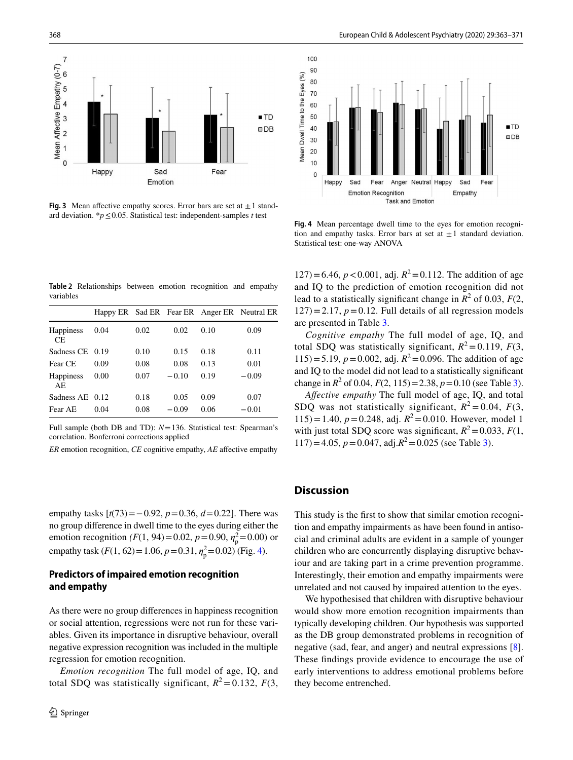

<span id="page-5-0"></span>**Fig. 3** Mean affective empathy scores. Error bars are set at  $\pm 1$  standard deviation.  $* p \leq 0.05$ . Statistical test: independent-samples *t* test

<span id="page-5-1"></span>**Table 2** Relationships between emotion recognition and empathy variables

|                        |      |      |         |      | Happy ER Sad ER Fear ER Anger ER Neutral ER |
|------------------------|------|------|---------|------|---------------------------------------------|
| <b>Happiness</b><br>CE | 0.04 | 0.02 | 0.02    | 0.10 | 0.09                                        |
| Sadness CE 0.19        |      | 0.10 | 0.15    | 0.18 | 0.11                                        |
| Fear CE                | 0.09 | 0.08 | 0.08    | 0.13 | 0.01                                        |
| <b>Happiness</b><br>AE | 0.00 | 0.07 | $-0.10$ | 0.19 | $-0.09$                                     |
| Sadness AE 0.12        |      | 0.18 | 0.05    | 0.09 | 0.07                                        |
| Fear AE                | 0.04 | 0.08 | $-0.09$ | 0.06 | $-0.01$                                     |

Full sample (both DB and TD): *N*=136. Statistical test: Spearman's correlation. Bonferroni corrections applied

*ER* emotion recognition, *CE* cognitive empathy, *AE* affective empathy

empathy tasks [*t*(73)=−0.92, *p*=0.36, *d*=0.22]. There was no group diference in dwell time to the eyes during either the emotion recognition  $(F(1, 94)=0.02, p=0.90, \eta_{\rm p}^2=0.00)$  or empathy task  $(F(1, 62) = 1.06, p = 0.31, \eta_{\text{p}}^2 = 0.02)$  (Fig. [4\)](#page-5-2).

## **Predictors of impaired emotion recognition and empathy**

As there were no group diferences in happiness recognition or social attention, regressions were not run for these variables. Given its importance in disruptive behaviour, overall negative expression recognition was included in the multiple regression for emotion recognition.

*Emotion recognition* The full model of age, IQ, and total SDQ was statistically significant,  $R^2 = 0.132$ ,  $F(3)$ ,



<span id="page-5-2"></span>**Fig. 4** Mean percentage dwell time to the eyes for emotion recognition and empathy tasks. Error bars at set at  $\pm 1$  standard deviation. Statistical test: one-way ANOVA

127)=6.46,  $p < 0.001$ , adj.  $R^2 = 0.112$ . The addition of age and IQ to the prediction of emotion recognition did not lead to a statistically significant change in  $R^2$  of 0.03,  $F(2, \theta)$  $127$ )=2.17,  $p=0.12$ . Full details of all regression models are presented in Table [3](#page-6-0).

*Cognitive empathy* The full model of age, IQ, and total SDQ was statistically significant,  $R^2 = 0.119$ ,  $F(3)$ , 115)=5.19,  $p = 0.002$ , adj.  $R^2 = 0.096$ . The addition of age and IQ to the model did not lead to a statistically signifcant change in  $R^2$  of 0.04,  $F(2, 115) = 2.38$  $F(2, 115) = 2.38$  $F(2, 115) = 2.38$ ,  $p = 0.10$  (see Table 3).

*Afective empathy* The full model of age, IQ, and total SDQ was not statistically significant,  $R^2 = 0.04$ ,  $F(3)$ , 115) = 1.40,  $p = 0.248$ , adj.  $R^2 = 0.010$ . However, model 1 with just total SDQ score was significant,  $R^2 = 0.033$ ,  $F(1)$ ,  $117$ )=4.05, *p*=0.047, adj. $R^2$ =0.025 (see Table [3](#page-6-0)).

# **Discussion**

This study is the frst to show that similar emotion recognition and empathy impairments as have been found in antisocial and criminal adults are evident in a sample of younger children who are concurrently displaying disruptive behaviour and are taking part in a crime prevention programme. Interestingly, their emotion and empathy impairments were unrelated and not caused by impaired attention to the eyes.

We hypothesised that children with disruptive behaviour would show more emotion recognition impairments than typically developing children. Our hypothesis was supported as the DB group demonstrated problems in recognition of negative (sad, fear, and anger) and neutral expressions [\[8](#page-7-6)]. These fndings provide evidence to encourage the use of early interventions to address emotional problems before they become entrenched.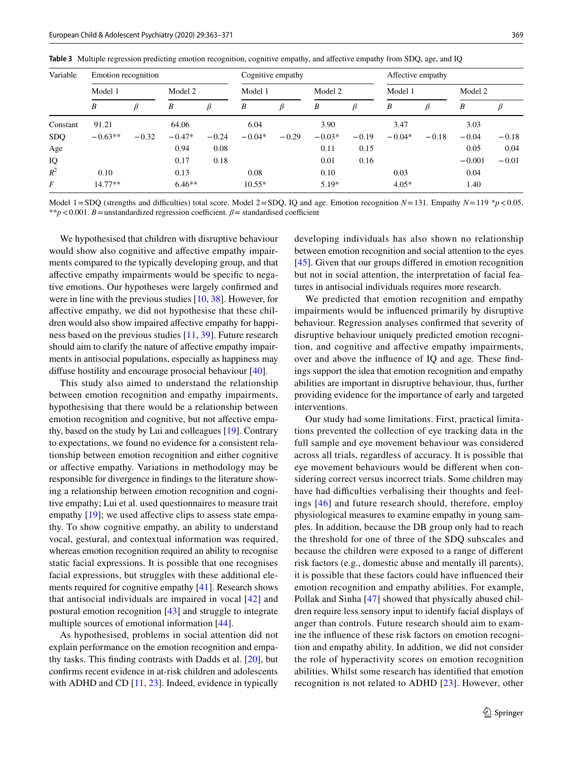| Variable   | Emotion recognition |         |          | Cognitive empathy |          |         |          | Affective empathy |          |         |          |         |
|------------|---------------------|---------|----------|-------------------|----------|---------|----------|-------------------|----------|---------|----------|---------|
|            | Model 1             |         | Model 2  |                   | Model 1  |         | Model 2  |                   | Model 1  |         | Model 2  |         |
|            | B                   | ß       | B        | ß                 | B        | ß       | B        | ß                 | B        |         | B        |         |
| Constant   | 91.21               |         | 64.06    |                   | 6.04     |         | 3.90     |                   | 3.47     |         | 3.03     |         |
| <b>SDQ</b> | $-0.63**$           | $-0.32$ | $-0.47*$ | $-0.24$           | $-0.04*$ | $-0.29$ | $-0.03*$ | $-0.19$           | $-0.04*$ | $-0.18$ | $-0.04$  | $-0.18$ |
| Age        |                     |         | 0.94     | 0.08              |          |         | 0.11     | 0.15              |          |         | 0.05     | 0.04    |
| IQ         |                     |         | 0.17     | 0.18              |          |         | 0.01     | 0.16              |          |         | $-0.001$ | $-0.01$ |
| $R^2$      | 0.10                |         | 0.13     |                   | 0.08     |         | 0.10     |                   | 0.03     |         | 0.04     |         |
| F          | $14.77**$           |         | $6.46**$ |                   | $10.55*$ |         | $5.19*$  |                   | $4.05*$  |         | 1.40     |         |

<span id="page-6-0"></span>**Table 3** Multiple regression predicting emotion recognition, cognitive empathy, and afective empathy from SDQ, age, and IQ

Model 1=SDO (strengths and difficulties) total score. Model 2=SDO, IO and age. Emotion recognition  $N=131$ . Empathy  $N=119$  \* $p<0.05$ , \*\* $p$ <0.001. *B*=unstandardized regression coefficient.  $\beta$ = standardised coefficient

We hypothesised that children with disruptive behaviour would show also cognitive and afective empathy impairments compared to the typically developing group, and that afective empathy impairments would be specifc to negative emotions. Our hypotheses were largely confrmed and were in line with the previous studies [[10,](#page-7-8) [38](#page-8-21)]. However, for afective empathy, we did not hypothesise that these children would also show impaired afective empathy for happiness based on the previous studies [[11,](#page-7-9) [39\]](#page-8-22). Future research should aim to clarify the nature of affective empathy impairments in antisocial populations, especially as happiness may difuse hostility and encourage prosocial behaviour [[40\]](#page-8-23).

This study also aimed to understand the relationship between emotion recognition and empathy impairments, hypothesising that there would be a relationship between emotion recognition and cognitive, but not affective empathy, based on the study by Lui and colleagues [\[19](#page-8-2)]. Contrary to expectations, we found no evidence for a consistent relationship between emotion recognition and either cognitive or afective empathy. Variations in methodology may be responsible for divergence in fndings to the literature showing a relationship between emotion recognition and cognitive empathy; Lui et al. used questionnaires to measure trait empathy  $[19]$  $[19]$ ; we used affective clips to assess state empathy. To show cognitive empathy, an ability to understand vocal, gestural, and contextual information was required, whereas emotion recognition required an ability to recognise static facial expressions. It is possible that one recognises facial expressions, but struggles with these additional elements required for cognitive empathy [\[41](#page-8-24)]. Research shows that antisocial individuals are impaired in vocal [[42\]](#page-8-25) and postural emotion recognition [\[43](#page-8-26)] and struggle to integrate multiple sources of emotional information [[44](#page-8-27)].

As hypothesised, problems in social attention did not explain performance on the emotion recognition and empathy tasks. This fnding contrasts with Dadds et al. [[20\]](#page-8-3), but confrms recent evidence in at-risk children and adolescents with ADHD and CD [[11,](#page-7-9) [23\]](#page-8-6). Indeed, evidence in typically

developing individuals has also shown no relationship between emotion recognition and social attention to the eyes [[45\]](#page-8-28). Given that our groups difered in emotion recognition but not in social attention, the interpretation of facial features in antisocial individuals requires more research.

We predicted that emotion recognition and empathy impairments would be infuenced primarily by disruptive behaviour. Regression analyses confrmed that severity of disruptive behaviour uniquely predicted emotion recognition, and cognitive and afective empathy impairments, over and above the infuence of IQ and age. These fndings support the idea that emotion recognition and empathy abilities are important in disruptive behaviour, thus, further providing evidence for the importance of early and targeted interventions.

Our study had some limitations. First, practical limitations prevented the collection of eye tracking data in the full sample and eye movement behaviour was considered across all trials, regardless of accuracy. It is possible that eye movement behaviours would be diferent when considering correct versus incorrect trials. Some children may have had difficulties verbalising their thoughts and feelings [[46](#page-8-29)] and future research should, therefore, employ physiological measures to examine empathy in young samples. In addition, because the DB group only had to reach the threshold for one of three of the SDQ subscales and because the children were exposed to a range of diferent risk factors (e.g., domestic abuse and mentally ill parents), it is possible that these factors could have infuenced their emotion recognition and empathy abilities. For example, Pollak and Sinha [[47](#page-8-30)] showed that physically abused children require less sensory input to identify facial displays of anger than controls. Future research should aim to examine the infuence of these risk factors on emotion recognition and empathy ability. In addition, we did not consider the role of hyperactivity scores on emotion recognition abilities. Whilst some research has identifed that emotion recognition is not related to ADHD [[23](#page-8-6)]. However, other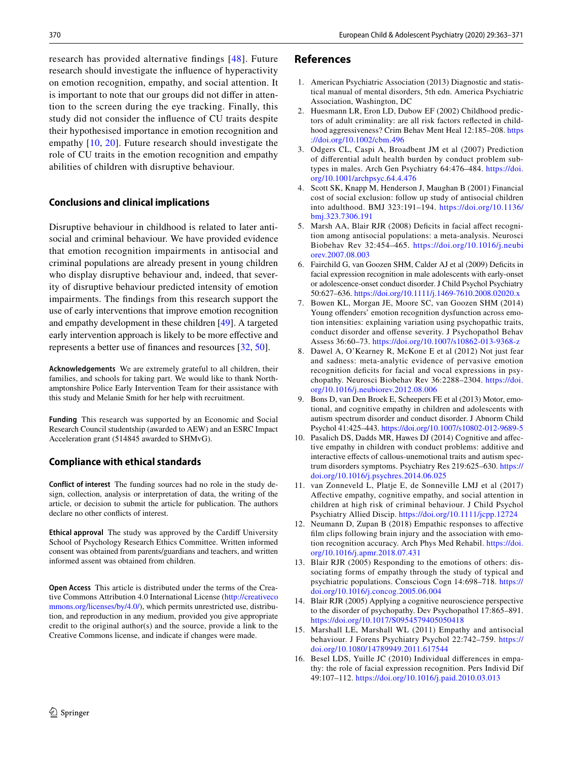research has provided alternative fndings [[48](#page-8-31)]. Future research should investigate the infuence of hyperactivity on emotion recognition, empathy, and social attention. It is important to note that our groups did not difer in attention to the screen during the eye tracking. Finally, this study did not consider the infuence of CU traits despite their hypothesised importance in emotion recognition and empathy [\[10,](#page-7-8) [20\]](#page-8-3). Future research should investigate the role of CU traits in the emotion recognition and empathy abilities of children with disruptive behaviour.

# **Conclusions and clinical implications**

Disruptive behaviour in childhood is related to later antisocial and criminal behaviour. We have provided evidence that emotion recognition impairments in antisocial and criminal populations are already present in young children who display disruptive behaviour and, indeed, that severity of disruptive behaviour predicted intensity of emotion impairments. The fndings from this research support the use of early interventions that improve emotion recognition and empathy development in these children [\[49](#page-8-32)]. A targeted early intervention approach is likely to be more effective and represents a better use of fnances and resources [\[32](#page-8-15), [50](#page-8-33)].

**Acknowledgements** We are extremely grateful to all children, their families, and schools for taking part. We would like to thank Northamptonshire Police Early Intervention Team for their assistance with this study and Melanie Smith for her help with recruitment.

**Funding** This research was supported by an Economic and Social Research Council studentship (awarded to AEW) and an ESRC Impact Acceleration grant (514845 awarded to SHMvG).

# **Compliance with ethical standards**

**Conflict of interest** The funding sources had no role in the study design, collection, analysis or interpretation of data, the writing of the article, or decision to submit the article for publication. The authors declare no other conficts of interest.

**Ethical approval** The study was approved by the Cardiff University School of Psychology Research Ethics Committee. Written informed consent was obtained from parents/guardians and teachers, and written informed assent was obtained from children.

**Open Access** This article is distributed under the terms of the Creative Commons Attribution 4.0 International License [\(http://creativeco](http://creativecommons.org/licenses/by/4.0/) [mmons.org/licenses/by/4.0/](http://creativecommons.org/licenses/by/4.0/)), which permits unrestricted use, distribution, and reproduction in any medium, provided you give appropriate credit to the original author(s) and the source, provide a link to the Creative Commons license, and indicate if changes were made.

# **References**

- <span id="page-7-0"></span>1. American Psychiatric Association (2013) Diagnostic and statistical manual of mental disorders, 5th edn. America Psychiatric Association, Washington, DC
- <span id="page-7-1"></span>2. Huesmann LR, Eron LD, Dubow EF (2002) Childhood predictors of adult criminality: are all risk factors refected in childhood aggressiveness? Crim Behav Ment Heal 12:185-208. [https](https://doi.org/10.1002/cbm.496) [://doi.org/10.1002/cbm.496](https://doi.org/10.1002/cbm.496)
- 3. Odgers CL, Caspi A, Broadbent JM et al (2007) Prediction of diferential adult health burden by conduct problem subtypes in males. Arch Gen Psychiatry 64:476–484. [https://doi.](https://doi.org/10.1001/archpsyc.64.4.476) [org/10.1001/archpsyc.64.4.476](https://doi.org/10.1001/archpsyc.64.4.476)
- <span id="page-7-2"></span>4. Scott SK, Knapp M, Henderson J, Maughan B (2001) Financial cost of social exclusion: follow up study of antisocial children into adulthood. BMJ 323:191–194. [https://doi.org/10.1136/](https://doi.org/10.1136/bmj.323.7306.191) [bmj.323.7306.191](https://doi.org/10.1136/bmj.323.7306.191)
- <span id="page-7-3"></span>5. Marsh AA, Blair RJR (2008) Deficits in facial affect recognition among antisocial populations: a meta-analysis. Neurosci Biobehav Rev 32:454–465. [https://doi.org/10.1016/j.neubi](https://doi.org/10.1016/j.neubiorev.2007.08.003) [orev.2007.08.003](https://doi.org/10.1016/j.neubiorev.2007.08.003)
- <span id="page-7-4"></span>6. Fairchild G, van Goozen SHM, Calder AJ et al (2009) Defcits in facial expression recognition in male adolescents with early-onset or adolescence-onset conduct disorder. J Child Psychol Psychiatry 50:627–636.<https://doi.org/10.1111/j.1469-7610.2008.02020.x>
- <span id="page-7-5"></span>7. Bowen KL, Morgan JE, Moore SC, van Goozen SHM (2014) Young offenders' emotion recognition dysfunction across emotion intensities: explaining variation using psychopathic traits, conduct disorder and ofense severity. J Psychopathol Behav Assess 36:60–73.<https://doi.org/10.1007/s10862-013-9368-z>
- <span id="page-7-6"></span>8. Dawel A, O'Kearney R, McKone E et al (2012) Not just fear and sadness: meta-analytic evidence of pervasive emotion recognition deficits for facial and vocal expressions in psychopathy. Neurosci Biobehav Rev 36:2288–2304. [https://doi.](https://doi.org/10.1016/j.neubiorev.2012.08.006) [org/10.1016/j.neubiorev.2012.08.006](https://doi.org/10.1016/j.neubiorev.2012.08.006)
- <span id="page-7-7"></span>9. Bons D, van Den Broek E, Scheepers FE et al (2013) Motor, emotional, and cognitive empathy in children and adolescents with autism spectrum disorder and conduct disorder. J Abnorm Child Psychol 41:425–443. <https://doi.org/10.1007/s10802-012-9689-5>
- <span id="page-7-8"></span>10. Pasalich DS, Dadds MR, Hawes DJ (2014) Cognitive and afective empathy in children with conduct problems: additive and interactive efects of callous-unemotional traits and autism spectrum disorders symptoms. Psychiatry Res 219:625–630. [https://](https://doi.org/10.1016/j.psychres.2014.06.025) [doi.org/10.1016/j.psychres.2014.06.025](https://doi.org/10.1016/j.psychres.2014.06.025)
- <span id="page-7-9"></span>11. van Zonneveld L, Platje E, de Sonneville LMJ et al (2017) Afective empathy, cognitive empathy, and social attention in children at high risk of criminal behaviour. J Child Psychol Psychiatry Allied Discip. <https://doi.org/10.1111/jcpp.12724>
- <span id="page-7-10"></span>12. Neumann D, Zupan B (2018) Empathic responses to afective flm clips following brain injury and the association with emotion recognition accuracy. Arch Phys Med Rehabil. [https://doi.](https://doi.org/10.1016/j.apmr.2018.07.431) [org/10.1016/j.apmr.2018.07.431](https://doi.org/10.1016/j.apmr.2018.07.431)
- <span id="page-7-11"></span>13. Blair RJR (2005) Responding to the emotions of others: dissociating forms of empathy through the study of typical and psychiatric populations. Conscious Cogn 14:698–718. [https://](https://doi.org/10.1016/j.concog.2005.06.004) [doi.org/10.1016/j.concog.2005.06.004](https://doi.org/10.1016/j.concog.2005.06.004)
- <span id="page-7-12"></span>14. Blair RJR (2005) Applying a cognitive neuroscience perspective to the disorder of psychopathy. Dev Psychopathol 17:865–891. <https://doi.org/10.1017/S0954579405050418>
- <span id="page-7-13"></span>15. Marshall LE, Marshall WL (2011) Empathy and antisocial behaviour. J Forens Psychiatry Psychol 22:742–759. [https://](https://doi.org/10.1080/14789949.2011.617544) [doi.org/10.1080/14789949.2011.617544](https://doi.org/10.1080/14789949.2011.617544)
- <span id="page-7-14"></span>16. Besel LDS, Yuille JC (2010) Individual diferences in empathy: the role of facial expression recognition. Pers Individ Dif 49:107–112. <https://doi.org/10.1016/j.paid.2010.03.013>